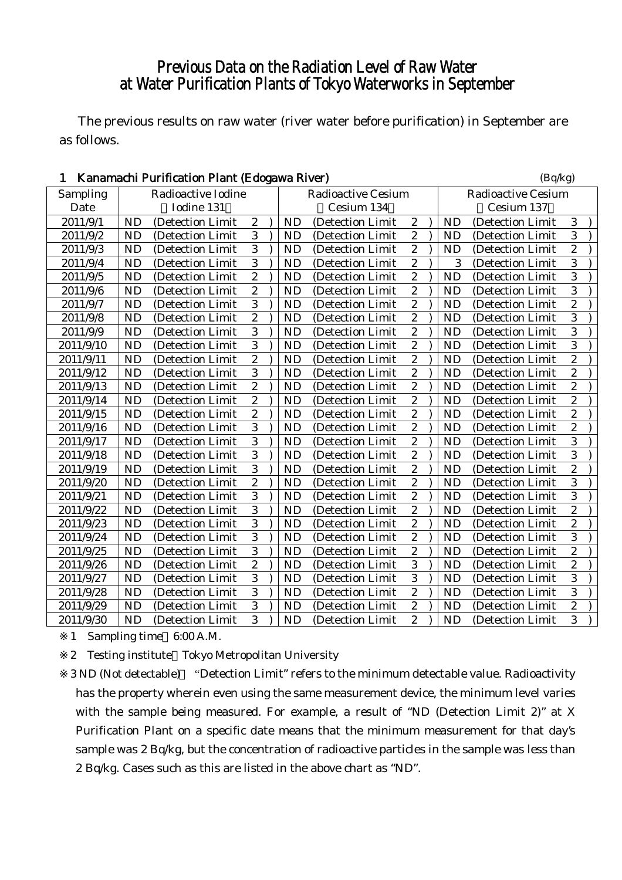## Previous Data on the Radiation Level of Raw Water at Water Purification Plants of Tokyo Waterworks in September

The previous results on raw water (river water before purification) in September are as follows.

| 1         |           | Kanamachi Purification Plant (Edogawa River) |                  |           |                           |                  |           | (Bq/kg)                   |                |  |
|-----------|-----------|----------------------------------------------|------------------|-----------|---------------------------|------------------|-----------|---------------------------|----------------|--|
| Sampling  |           | Radioactive Iodine                           |                  |           | <b>Radioactive Cesium</b> |                  |           | <b>Radioactive Cesium</b> |                |  |
| Date      |           | Iodine 131                                   |                  |           | Cesium 134                |                  |           | Cesium 137                |                |  |
| 2011/9/1  | <b>ND</b> | (Detection Limit                             | $\boldsymbol{2}$ | <b>ND</b> | (Detection Limit)         | $\boldsymbol{2}$ | <b>ND</b> | (Detection Limit          | 3              |  |
| 2011/9/2  | <b>ND</b> | (Detection Limit                             | 3                | <b>ND</b> | (Detection Limit          | $\boldsymbol{2}$ | <b>ND</b> | (Detection Limit          | 3              |  |
| 2011/9/3  | <b>ND</b> | (Detection Limit                             | $\overline{3}$   | <b>ND</b> | (Detection Limit          | $\overline{c}$   | <b>ND</b> | (Detection Limit          | $\overline{c}$ |  |
| 2011/9/4  | <b>ND</b> | (Detection Limit                             | $\overline{3}$   | <b>ND</b> | (Detection Limit          | $\overline{c}$   | 3         | (Detection Limit          | 3              |  |
| 2011/9/5  | <b>ND</b> | (Detection Limit                             | $\overline{2}$   | <b>ND</b> | (Detection Limit          | $\overline{2}$   | <b>ND</b> | (Detection Limit          | $\overline{3}$ |  |
| 2011/9/6  | <b>ND</b> | (Detection Limit                             | $\overline{2}$   | <b>ND</b> | (Detection Limit          | $\boldsymbol{2}$ | <b>ND</b> | (Detection Limit          | 3              |  |
| 2011/9/7  | <b>ND</b> | (Detection Limit                             | $\overline{3}$   | <b>ND</b> | (Detection Limit          | $\boldsymbol{2}$ | <b>ND</b> | (Detection Limit          | $\overline{c}$ |  |
| 2011/9/8  | <b>ND</b> | (Detection Limit                             | $\overline{c}$   | <b>ND</b> | (Detection Limit          | $\overline{c}$   | <b>ND</b> | (Detection Limit          | 3              |  |
| 2011/9/9  | <b>ND</b> | (Detection Limit                             | $\overline{3}$   | <b>ND</b> | (Detection Limit          | $\overline{c}$   | <b>ND</b> | (Detection Limit          | $\overline{3}$ |  |
| 2011/9/10 | <b>ND</b> | (Detection Limit                             | $\overline{3}$   | <b>ND</b> | (Detection Limit          | $\overline{c}$   | <b>ND</b> | (Detection Limit          | 3              |  |
| 2011/9/11 | <b>ND</b> | (Detection Limit                             | $\overline{2}$   | <b>ND</b> | (Detection Limit          | $\overline{c}$   | <b>ND</b> | (Detection Limit          | $\overline{c}$ |  |
| 2011/9/12 | <b>ND</b> | (Detection Limit                             | $\overline{3}$   | <b>ND</b> | (Detection Limit          | $\overline{c}$   | <b>ND</b> | (Detection Limit          | $\overline{c}$ |  |
| 2011/9/13 | <b>ND</b> | (Detection Limit                             | $\boldsymbol{2}$ | <b>ND</b> | (Detection Limit          | $\boldsymbol{2}$ | <b>ND</b> | (Detection Limit          | $\overline{c}$ |  |
| 2011/9/14 | <b>ND</b> | (Detection Limit                             | $\overline{2}$   | <b>ND</b> | (Detection Limit          | $\boldsymbol{2}$ | <b>ND</b> | (Detection Limit          | $\overline{c}$ |  |
| 2011/9/15 | <b>ND</b> | (Detection Limit                             | $\overline{c}$   | <b>ND</b> | (Detection Limit          | $\overline{c}$   | <b>ND</b> | (Detection Limit          | $\overline{c}$ |  |
| 2011/9/16 | <b>ND</b> | (Detection Limit                             | $\overline{3}$   | <b>ND</b> | (Detection Limit          | $\boldsymbol{2}$ | <b>ND</b> | (Detection Limit          | $\overline{c}$ |  |
| 2011/9/17 | <b>ND</b> | (Detection Limit                             | $\overline{3}$   | <b>ND</b> | (Detection Limit          | $\boldsymbol{2}$ | <b>ND</b> | (Detection Limit          | 3              |  |
| 2011/9/18 | <b>ND</b> | (Detection Limit                             | $\overline{3}$   | <b>ND</b> | (Detection Limit          | $\boldsymbol{2}$ | <b>ND</b> | (Detection Limit          | 3              |  |
| 2011/9/19 | <b>ND</b> | (Detection Limit                             | 3                | <b>ND</b> | (Detection Limit          | $\boldsymbol{2}$ | <b>ND</b> | (Detection Limit          | $\overline{c}$ |  |
| 2011/9/20 | <b>ND</b> | (Detection Limit                             | $\overline{2}$   | <b>ND</b> | (Detection Limit          | $\boldsymbol{2}$ | <b>ND</b> | (Detection Limit          | 3              |  |
| 2011/9/21 | <b>ND</b> | (Detection Limit                             | 3                | <b>ND</b> | (Detection Limit          | $\overline{c}$   | <b>ND</b> | (Detection Limit          | 3              |  |
| 2011/9/22 | <b>ND</b> | (Detection Limit                             | 3                | <b>ND</b> | (Detection Limit          | $\overline{c}$   | <b>ND</b> | (Detection Limit          | $\overline{c}$ |  |
| 2011/9/23 | <b>ND</b> | (Detection Limit                             | 3                | <b>ND</b> | (Detection Limit          | $\boldsymbol{2}$ | <b>ND</b> | (Detection Limit          | $\overline{c}$ |  |
| 2011/9/24 | <b>ND</b> | (Detection Limit                             | $\overline{3}$   | <b>ND</b> | (Detection Limit)         | $\boldsymbol{2}$ | <b>ND</b> | (Detection Limit          | $\overline{3}$ |  |
| 2011/9/25 | <b>ND</b> | (Detection Limit                             | $\overline{3}$   | <b>ND</b> | (Detection Limit          | $\boldsymbol{2}$ | <b>ND</b> | (Detection Limit          | $\overline{c}$ |  |
| 2011/9/26 | <b>ND</b> | (Detection Limit                             | $\overline{2}$   | <b>ND</b> | (Detection Limit          | $\overline{3}$   | <b>ND</b> | (Detection Limit          | $\overline{c}$ |  |
| 2011/9/27 | <b>ND</b> | (Detection Limit                             | $\overline{3}$   | <b>ND</b> | (Detection Limit          | 3                | <b>ND</b> | (Detection Limit          | 3              |  |
| 2011/9/28 | <b>ND</b> | (Detection Limit                             | $\overline{3}$   | <b>ND</b> | (Detection Limit          | $\overline{2}$   | <b>ND</b> | (Detection Limit          | $\overline{3}$ |  |
| 2011/9/29 | <b>ND</b> | (Detection Limit                             | 3                | <b>ND</b> | (Detection Limit          | $\boldsymbol{2}$ | <b>ND</b> | (Detection Limit          | $\overline{c}$ |  |
| 2011/9/30 | <b>ND</b> | (Detection Limit                             | $\overline{3}$   | <b>ND</b> | (Detection Limit          | $\overline{c}$   | <b>ND</b> | (Detection Limit          | 3              |  |

1 Sampling time 6:00 A.M.

2 Testing institute Tokyo Metropolitan University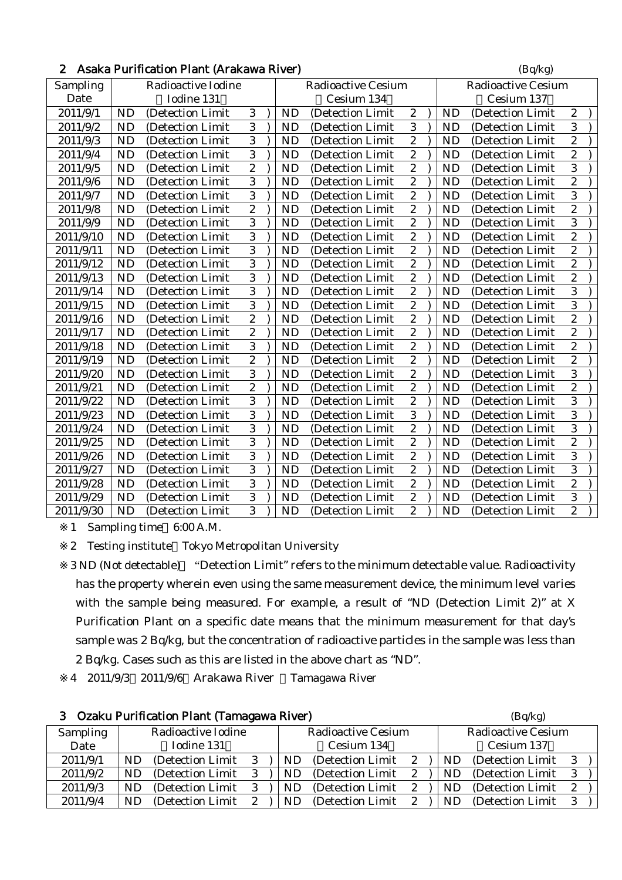| 2 Asaka Purification Plant (Arakawa River) | (Bq/kg) |
|--------------------------------------------|---------|
|                                            |         |

| Sampling  |           | Radioactive Iodine |                  |           | <b>Radioactive Cesium</b> |                  |           | <b>Radioactive Cesium</b> |                         |
|-----------|-----------|--------------------|------------------|-----------|---------------------------|------------------|-----------|---------------------------|-------------------------|
| Date      |           | Iodine 131         |                  |           | Cesium 134                |                  |           | Cesium 137                |                         |
| 2011/9/1  | <b>ND</b> | (Detection Limit   | 3                | <b>ND</b> | (Detection Limit)         | $\boldsymbol{2}$ | <b>ND</b> | (Detection Limit          | $\boldsymbol{2}$        |
| 2011/9/2  | <b>ND</b> | (Detection Limit   | 3                | <b>ND</b> | (Detection Limit          | 3                | <b>ND</b> | (Detection Limit          | 3                       |
| 2011/9/3  | <b>ND</b> | (Detection Limit   | 3                | <b>ND</b> | (Detection Limit          | $\boldsymbol{2}$ | <b>ND</b> | (Detection Limit          | $\overline{c}$          |
| 2011/9/4  | <b>ND</b> | (Detection Limit   | $\overline{3}$   | <b>ND</b> | (Detection Limit          | $\mathbf{2}$     | <b>ND</b> | (Detection Limit          | $\overline{2}$          |
| 2011/9/5  | <b>ND</b> | (Detection Limit   | $\boldsymbol{2}$ | <b>ND</b> | (Detection Limit          | $\boldsymbol{2}$ | <b>ND</b> | (Detection Limit          | 3                       |
| 2011/9/6  | <b>ND</b> | (Detection Limit   | $\sqrt{3}$       | <b>ND</b> | (Detection Limit          | $\boldsymbol{2}$ | <b>ND</b> | (Detection Limit          | $\overline{c}$          |
| 2011/9/7  | <b>ND</b> | (Detection Limit   | $\overline{3}$   | <b>ND</b> | (Detection Limit)         | $\mathbf{2}$     | <b>ND</b> | (Detection Limit          | $\overline{3}$          |
| 2011/9/8  | <b>ND</b> | (Detection Limit   | $\boldsymbol{2}$ | <b>ND</b> | (Detection Limit          | $\overline{c}$   | <b>ND</b> | (Detection Limit          | $\overline{c}$          |
| 2011/9/9  | <b>ND</b> | (Detection Limit)  | 3                | <b>ND</b> | (Detection Limit)         | $\mathbf{2}$     | <b>ND</b> | (Detection Limit)         | 3                       |
| 2011/9/10 | <b>ND</b> | (Detection Limit   | 3                | <b>ND</b> | (Detection Limit          | $\mathbf{2}$     | <b>ND</b> | (Detection Limit          | $\overline{2}$          |
| 2011/9/11 | <b>ND</b> | (Detection Limit   | $\overline{3}$   | <b>ND</b> | (Detection Limit          | $\boldsymbol{2}$ | <b>ND</b> | (Detection Limit          | $\overline{\mathbf{c}}$ |
| 2011/9/12 | <b>ND</b> | (Detection Limit)  | 3                | <b>ND</b> | (Detection Limit)         | $\mathbf{2}$     | <b>ND</b> | (Detection Limit)         | $\overline{c}$          |
| 2011/9/13 | <b>ND</b> | (Detection Limit   | $\overline{3}$   | <b>ND</b> | (Detection Limit          | $\mathbf{2}$     | <b>ND</b> | (Detection Limit          | $\overline{c}$          |
| 2011/9/14 | <b>ND</b> | (Detection Limit   | $\overline{3}$   | <b>ND</b> | (Detection Limit          | $\boldsymbol{2}$ | <b>ND</b> | (Detection Limit          | 3                       |
| 2011/9/15 | <b>ND</b> | (Detection Limit)  | 3                | <b>ND</b> | (Detection Limit)         | $\mathbf{2}$     | <b>ND</b> | (Detection Limit)         | 3                       |
| 2011/9/16 | <b>ND</b> | (Detection Limit   | $\overline{2}$   | <b>ND</b> | (Detection Limit          | $\mathbf{2}$     | <b>ND</b> | (Detection Limit          | $\overline{2}$          |
| 2011/9/17 | <b>ND</b> | (Detection Limit   | $\overline{2}$   | <b>ND</b> | (Detection Limit          | $\mathbf{2}$     | <b>ND</b> | (Detection Limit          | $\overline{c}$          |
| 2011/9/18 | <b>ND</b> | (Detection Limit)  | 3                | <b>ND</b> | (Detection Limit)         | $\boldsymbol{2}$ | <b>ND</b> | (Detection Limit)         | $\overline{c}$          |
| 2011/9/19 | <b>ND</b> | (Detection Limit)  | $\overline{2}$   | <b>ND</b> | (Detection Limit)         | $\overline{2}$   | <b>ND</b> | (Detection Limit)         | $\overline{2}$          |
| 2011/9/20 | <b>ND</b> | (Detection Limit   | 3                | <b>ND</b> | (Detection Limit          | $\mathbf{2}$     | <b>ND</b> | (Detection Limit          | 3                       |
| 2011/9/21 | <b>ND</b> | (Detection Limit   | $\boldsymbol{2}$ | <b>ND</b> | (Detection Limit)         | $\boldsymbol{2}$ | <b>ND</b> | (Detection Limit)         | $\overline{c}$          |
| 2011/9/22 | <b>ND</b> | (Detection Limit)  | $\overline{3}$   | <b>ND</b> | (Detection Limit          | $\overline{2}$   | <b>ND</b> | (Detection Limit          | $\overline{3}$          |
| 2011/9/23 | <b>ND</b> | (Detection Limit   | $\overline{3}$   | <b>ND</b> | (Detection Limit          | 3                | <b>ND</b> | (Detection Limit          | 3                       |
| 2011/9/24 | <b>ND</b> | (Detection Limit   | 3                | <b>ND</b> | (Detection Limit)         | $\overline{c}$   | <b>ND</b> | (Detection Limit)         | 3                       |
| 2011/9/25 | <b>ND</b> | (Detection Limit)  | $\overline{3}$   | <b>ND</b> | (Detection Limit)         | $\overline{2}$   | <b>ND</b> | (Detection Limit)         | $\overline{2}$          |
| 2011/9/26 | <b>ND</b> | (Detection Limit   | $\overline{3}$   | <b>ND</b> | (Detection Limit          | $\boldsymbol{2}$ | <b>ND</b> | (Detection Limit          | 3                       |
| 2011/9/27 | <b>ND</b> | (Detection Limit   | 3                | <b>ND</b> | (Detection Limit          | $\boldsymbol{2}$ | <b>ND</b> | (Detection Limit          | 3                       |
| 2011/9/28 | <b>ND</b> | (Detection Limit   | $\overline{3}$   | <b>ND</b> | (Detection Limit          | $\overline{2}$   | <b>ND</b> | (Detection Limit          | $\overline{2}$          |
| 2011/9/29 | <b>ND</b> | (Detection Limit)  | $\overline{3}$   | <b>ND</b> | (Detection Limit)         | $\boldsymbol{2}$ | <b>ND</b> | (Detection Limit          | 3                       |
| 2011/9/30 | <b>ND</b> | (Detection Limit)  | 3                | <b>ND</b> | (Detection Limit)         | $\overline{c}$   | <b>ND</b> | (Detection Limit)         | $\overline{c}$          |

2 Testing institute Tokyo Metropolitan University

3 ND (Not detectable) "Detection Limit" refers to the minimum detectable value. Radioactivity has the property wherein even using the same measurement device, the minimum level varies with the sample being measured. For example, a result of "ND (Detection Limit 2)" at X Purification Plant on a specific date means that the minimum measurement for that day's sample was 2 Bq/kg, but the concentration of radioactive particles in the sample was less than 2 Bq/kg. Cases such as this are listed in the above chart as "ND".

4 2011/9/3 2011/9/6 Arakawa River Tamagawa River

| Ozaku Purification Plant (Tamagawa River) |    |                    |   |            |     |                    | (Bq/kg) |            |    |                           |    |  |
|-------------------------------------------|----|--------------------|---|------------|-----|--------------------|---------|------------|----|---------------------------|----|--|
| Sampling                                  |    | Radioactive Iodine |   |            |     | Radioactive Cesium |         |            |    | <b>Radioactive Cesium</b> |    |  |
| Date                                      |    | Iodine 131         |   | Cesium 134 |     |                    |         | Cesium 137 |    |                           |    |  |
| 2011/9/1                                  | ND | (Detection Limit)  | 3 |            | ND. | (Detection Limit)  | 2       |            |    | (Detection Limit)         | -3 |  |
| 2011/9/2                                  | ND | (Detection Limit)  | 3 |            | ND  | (Detection Limit)  | 2       |            | ND | (Detection Limit)         | 3  |  |
| 2011/9/3                                  | ND | (Detection Limit)  | 3 |            | ND  | (Detection Limit)  | 2       |            | ND | (Detection Limit)         | 2  |  |
| 2011/9/4                                  | ND | (Detection Limit)  | 2 |            | ND  | (Detection Limit)  | 2       |            | ND | (Detection Limit)         | 3  |  |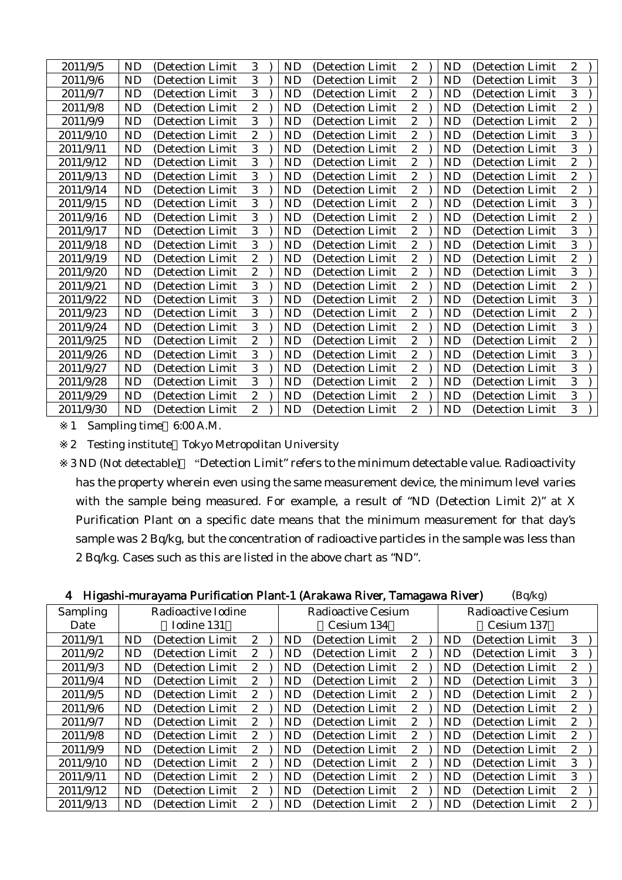| 2011/9/5  | ND        | (Detection Limit) | 3                | <b>ND</b> | (Detection Limit) | $\overline{2}$   | ND        | (Detection Limit) | 2              |  |
|-----------|-----------|-------------------|------------------|-----------|-------------------|------------------|-----------|-------------------|----------------|--|
| 2011/9/6  | ND        | (Detection Limit) | 3                | <b>ND</b> | (Detection Limit) | $\boldsymbol{2}$ | <b>ND</b> | (Detection Limit) | 3              |  |
| 2011/9/7  | <b>ND</b> | (Detection Limit) | 3                | <b>ND</b> | (Detection Limit) | $\boldsymbol{2}$ | <b>ND</b> | (Detection Limit) | 3              |  |
| 2011/9/8  | <b>ND</b> | (Detection Limit) | $\boldsymbol{2}$ | ND        | (Detection Limit) | $\boldsymbol{2}$ | <b>ND</b> | (Detection Limit  | $\overline{c}$ |  |
| 2011/9/9  | <b>ND</b> | (Detection Limit) | 3                | <b>ND</b> | (Detection Limit) | $\boldsymbol{2}$ | <b>ND</b> | (Detection Limit  | $\overline{c}$ |  |
| 2011/9/10 | <b>ND</b> | (Detection Limit  | $\boldsymbol{2}$ | <b>ND</b> | (Detection Limit  | $\boldsymbol{2}$ | <b>ND</b> | (Detection Limit  | 3              |  |
| 2011/9/11 | <b>ND</b> | (Detection Limit  | 3                | <b>ND</b> | (Detection Limit) | $\boldsymbol{2}$ | <b>ND</b> | (Detection Limit) | 3              |  |
| 2011/9/12 | ND        | (Detection Limit) | 3                | <b>ND</b> | (Detection Limit) | $\boldsymbol{2}$ | ND        | (Detection Limit) | $\overline{2}$ |  |
| 2011/9/13 | <b>ND</b> | (Detection Limit) | 3                | <b>ND</b> | (Detection Limit) | $\boldsymbol{2}$ | <b>ND</b> | (Detection Limit) | $\overline{c}$ |  |
| 2011/9/14 | <b>ND</b> | (Detection Limit) | 3                | <b>ND</b> | (Detection Limit) | $\boldsymbol{2}$ | <b>ND</b> | (Detection Limit) | $\overline{2}$ |  |
| 2011/9/15 | ND        | (Detection Limit) | 3                | <b>ND</b> | (Detection Limit) | $\boldsymbol{2}$ | ND        | (Detection Limit  | 3              |  |
| 2011/9/16 | <b>ND</b> | (Detection Limit) | 3                | <b>ND</b> | (Detection Limit) | $\boldsymbol{2}$ | <b>ND</b> | (Detection Limit  | $\overline{c}$ |  |
| 2011/9/17 | <b>ND</b> | (Detection Limit  | 3                | ND        | (Detection Limit  | $\boldsymbol{2}$ | <b>ND</b> | (Detection Limit  | 3              |  |
| 2011/9/18 | <b>ND</b> | (Detection Limit) | 3                | <b>ND</b> | (Detection Limit) | $\boldsymbol{2}$ | <b>ND</b> | (Detection Limit) | 3              |  |
| 2011/9/19 | <b>ND</b> | (Detection Limit) | $\boldsymbol{2}$ | <b>ND</b> | (Detection Limit) | $\boldsymbol{2}$ | <b>ND</b> | (Detection Limit) | $\overline{c}$ |  |
| 2011/9/20 | <b>ND</b> | (Detection Limit) | $\boldsymbol{2}$ | <b>ND</b> | (Detection Limit) | $\boldsymbol{2}$ | <b>ND</b> | (Detection Limit) | 3              |  |
| 2011/9/21 | <b>ND</b> | (Detection Limit) | 3                | <b>ND</b> | (Detection Limit) | $\boldsymbol{2}$ | <b>ND</b> | (Detection Limit) | $\overline{c}$ |  |
| 2011/9/22 | ND        | (Detection Limit) | 3                | ND        | (Detection Limit) | $\boldsymbol{2}$ | ND        | (Detection Limit  | 3              |  |
| 2011/9/23 | <b>ND</b> | (Detection Limit) | 3                | <b>ND</b> | (Detection Limit) | $\boldsymbol{2}$ | <b>ND</b> | (Detection Limit  | $\overline{c}$ |  |
| 2011/9/24 | <b>ND</b> | (Detection Limit  | 3                | ND        | (Detection Limit) | $\boldsymbol{2}$ | <b>ND</b> | (Detection Limit  | 3              |  |
| 2011/9/25 | <b>ND</b> | (Detection Limit) | $\boldsymbol{2}$ | ND        | (Detection Limit) | $\boldsymbol{2}$ | <b>ND</b> | (Detection Limit) | $\overline{c}$ |  |
| 2011/9/26 | <b>ND</b> | (Detection Limit) | 3                | <b>ND</b> | (Detection Limit) | $\boldsymbol{2}$ | <b>ND</b> | (Detection Limit) | 3              |  |
| 2011/9/27 | <b>ND</b> | (Detection Limit) | 3                | <b>ND</b> | (Detection Limit) | $\boldsymbol{2}$ | <b>ND</b> | (Detection Limit) | 3              |  |
| 2011/9/28 | <b>ND</b> | (Detection Limit) | 3                | <b>ND</b> | (Detection Limit) | $\boldsymbol{2}$ | <b>ND</b> | (Detection Limit  | 3              |  |
| 2011/9/29 | ND        | (Detection Limit) | $\boldsymbol{2}$ | <b>ND</b> | (Detection Limit) | $\boldsymbol{2}$ | ND        | (Detection Limit  | 3              |  |
| 2011/9/30 | <b>ND</b> | (Detection Limit) | $\boldsymbol{2}$ | <b>ND</b> | (Detection Limit) | $\boldsymbol{2}$ | <b>ND</b> | (Detection Limit  | 3              |  |

2 Testing institute Tokyo Metropolitan University

| Higashi-murayama Purification Plant-1 (Arakawa River, Tamagawa River)<br>(Bq/kg)<br>4 |           |                    |                       |  |           |                    |                       |  |           |                    |              |  |
|---------------------------------------------------------------------------------------|-----------|--------------------|-----------------------|--|-----------|--------------------|-----------------------|--|-----------|--------------------|--------------|--|
| Sampling                                                                              |           | Radioactive Iodine |                       |  |           | Radioactive Cesium |                       |  |           | Radioactive Cesium |              |  |
| Date                                                                                  |           | Iodine 131         |                       |  |           | Cesium 134         |                       |  |           | Cesium 137         |              |  |
| 2011/9/1                                                                              | <b>ND</b> | (Detection Limit)  | $\mathbf{2}^{\prime}$ |  | ND.       | (Detection Limit)  | $\mathbf{2}^{\prime}$ |  | ND.       | (Detection Limit)  | 3            |  |
| 2011/9/2                                                                              | <b>ND</b> | (Detection Limit)  | $\mathbf{2}^{\prime}$ |  | <b>ND</b> | (Detection Limit)  | $\mathbf{2}^{\prime}$ |  | <b>ND</b> | (Detection Limit   | 3            |  |
| 2011/9/3                                                                              | <b>ND</b> | (Detection Limit)  | $\mathbf{2}^{\prime}$ |  | ND        | (Detection Limit)  | $\mathbf{2}^{\prime}$ |  | ND        | (Detection Limit)  | 2            |  |
| 2011/9/4                                                                              | <b>ND</b> | (Detection Limit)  | $\mathbf{2}$          |  | <b>ND</b> | (Detection Limit)  | $\mathbf{2}^{\prime}$ |  | ND.       | (Detection Limit)  | 3            |  |
| 2011/9/5                                                                              | <b>ND</b> | (Detection Limit)  | $\mathbf{2}^{\prime}$ |  | <b>ND</b> | (Detection Limit)  | $\mathbf{2}^{\prime}$ |  | <b>ND</b> | (Detection Limit)  | $\mathbf{2}$ |  |
| 2011/9/6                                                                              | <b>ND</b> | (Detection Limit)  | $\mathbf{2}^{\prime}$ |  | <b>ND</b> | (Detection Limit)  | $\mathbf{2}$          |  | <b>ND</b> | (Detection Limit)  | 2            |  |
| 2011/9/7                                                                              | <b>ND</b> | (Detection Limit)  | $\mathbf{2}^{\prime}$ |  | ND.       | (Detection Limit)  | $\mathbf{2}^{\prime}$ |  | ND.       | (Detection Limit)  | $\mathbf{2}$ |  |
| 2011/9/8                                                                              | <b>ND</b> | (Detection Limit)  | $\mathbf{2}^{\prime}$ |  | ND        | (Detection Limit)  | $\mathbf{2}^{\prime}$ |  | ND        | (Detection Limit)  | 2            |  |
| 2011/9/9                                                                              | <b>ND</b> | (Detection Limit)  | $\mathbf{2}^{\prime}$ |  | ND.       | (Detection Limit)  | $\mathbf{2}^{\prime}$ |  | ND.       | (Detection Limit)  | $\mathbf{2}$ |  |
| 2011/9/10                                                                             | ND        | (Detection Limit)  | $\mathbf{2}$          |  | ND        | (Detection Limit)  | $\mathbf{2}$          |  | ND.       | (Detection Limit)  | 3            |  |
| 2011/9/11                                                                             | <b>ND</b> | (Detection Limit)  | $\boldsymbol{2}$      |  | <b>ND</b> | (Detection Limit)  | $\mathbf{2}$          |  | ND        | (Detection Limit)  | 3            |  |
| 2011/9/12                                                                             | <b>ND</b> | (Detection Limit)  | $\mathbf{2}^{\prime}$ |  | ND.       | (Detection Limit)  | $\mathbf{2}^{\prime}$ |  | ND        | (Detection Limit)  | 2            |  |
| 2011/9/13                                                                             | <b>ND</b> | (Detection Limit)  | $\mathbf{2}^{\prime}$ |  | <b>ND</b> | (Detection Limit)  | $\mathbf{2}^{\prime}$ |  | <b>ND</b> | (Detection Limit)  | 2            |  |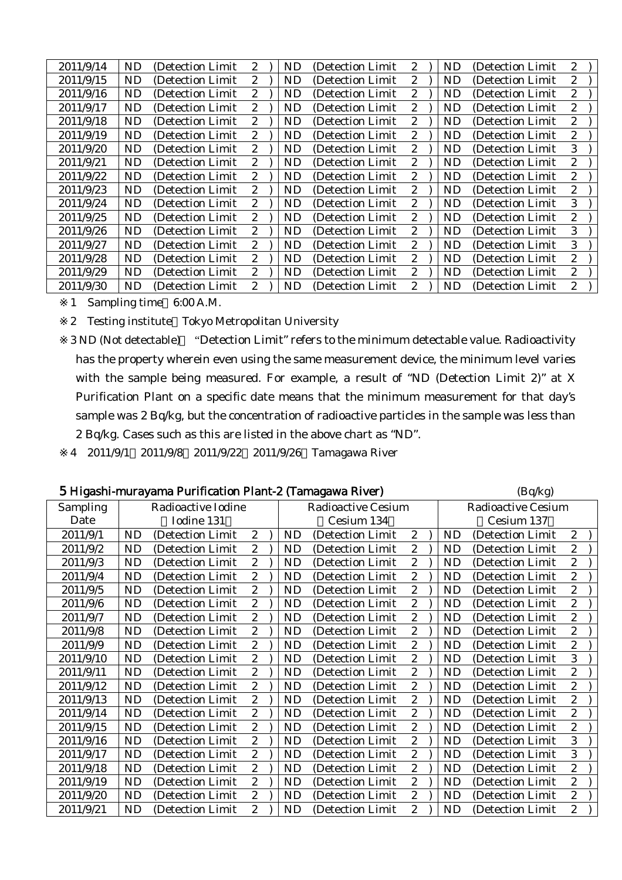| 2011/9/14 | ND.       | (Detection Limit) | $\mathbf{2}^{\prime}$ | ND.       | (Detection Limit  | 2                     | ND | (Detection Limit  | 2                |  |
|-----------|-----------|-------------------|-----------------------|-----------|-------------------|-----------------------|----|-------------------|------------------|--|
| 2011/9/15 | ND        | (Detection Limit) | $\mathbf{2}^{\prime}$ | ND        | (Detection Limit) | $\mathbf{2}^{\prime}$ | ND | (Detection Limit) | $\mathbf{2}$     |  |
| 2011/9/16 | <b>ND</b> | (Detection Limit) | $\mathbf{2}^{\prime}$ | <b>ND</b> | (Detection Limit) | $\mathbf{2}$          | ND | (Detection Limit) | 2                |  |
| 2011/9/17 | ND        | (Detection Limit) | 2                     | ND        | (Detection Limit) | $\mathbf{2}$          | ND | (Detection Limit) | 2                |  |
| 2011/9/18 | ND        | (Detection Limit) | $\mathbf{2}^{\prime}$ | ND.       | (Detection Limit) | $\boldsymbol{2}$      | ND | (Detection Limit) | 2                |  |
| 2011/9/19 | ND        | (Detection Limit) | $\mathbf{2}^{\prime}$ | ND        | (Detection Limit) | $\mathbf{2}$          | ND | (Detection Limit) | 2                |  |
| 2011/9/20 | ND        | (Detection Limit) | $\mathbf{2}^{\prime}$ | ND        | (Detection Limit) | $\boldsymbol{2}$      | ND | (Detection Limit) | 3                |  |
| 2011/9/21 | <b>ND</b> | (Detection Limit) | $\boldsymbol{2}$      | <b>ND</b> | (Detection Limit) | $\mathbf{2}$          | ND | (Detection Limit) | 2                |  |
| 2011/9/22 | ND        | (Detection Limit) | $\mathbf{2}^{\prime}$ | <b>ND</b> | (Detection Limit) | $\mathbf{2}$          | ND | (Detection Limit) | $\boldsymbol{2}$ |  |
| 2011/9/23 | ND        | (Detection Limit) | $\mathbf{2}^{\prime}$ | ND.       | (Detection Limit) | $\mathbf{2}^{\prime}$ | ND | (Detection Limit) | $\mathbf{2}$     |  |
| 2011/9/24 | <b>ND</b> | (Detection Limit) | $\mathbf{2}^{\prime}$ | <b>ND</b> | (Detection Limit) | $\mathbf{2}$          | ND | (Detection Limit) | 3                |  |
| 2011/9/25 | ND.       | (Detection Limit) | $\mathbf{2}^{\prime}$ | ND.       | (Detection Limit) | $\mathbf{2}$          | ND | (Detection Limit) | 2                |  |
| 2011/9/26 | ND        | (Detection Limit) | $\mathbf{2}$          | <b>ND</b> | (Detection Limit) | $\boldsymbol{2}$      | ND | (Detection Limit) | 3                |  |
| 2011/9/27 | ND        | (Detection Limit) | $\boldsymbol{2}$      | ND        | (Detection Limit) | 2                     | ND | (Detection Limit) | 3                |  |
| 2011/9/28 | ND        | (Detection Limit) | $\mathbf{2}^{\prime}$ | ND.       | (Detection Limit) | $\mathbf{2}$          | ND | (Detection Limit) | 2                |  |
| 2011/9/29 | <b>ND</b> | (Detection Limit) | $\mathbf{2}^{\prime}$ | <b>ND</b> | (Detection Limit) | $\boldsymbol{2}$      | ND | (Detection Limit) | 2                |  |
| 2011/9/30 | ND.       | (Detection Limit) | 2                     | ND.       | (Detection Limit) | $\overline{2}$        | ND | (Detection Limit  | 2                |  |

2 Testing institute Tokyo Metropolitan University

3 ND (Not detectable) "Detection Limit" refers to the minimum detectable value. Radioactivity has the property wherein even using the same measurement device, the minimum level varies with the sample being measured. For example, a result of "ND (Detection Limit 2)" at X Purification Plant on a specific date means that the minimum measurement for that day's sample was 2 Bq/kg, but the concentration of radioactive particles in the sample was less than 2 Bq/kg. Cases such as this are listed in the above chart as "ND".

4 2011/9/1 2011/9/8 2011/9/22 2011/9/26 Tamagawa River

| 5 Higashi-murayama Purification Plant-2 (Tamagawa River) | (Bq/kg) |
|----------------------------------------------------------|---------|
|----------------------------------------------------------|---------|

|                 |     |                    |                       |     |                           |                  | $-1 - 7$       |                           |                  |  |  |
|-----------------|-----|--------------------|-----------------------|-----|---------------------------|------------------|----------------|---------------------------|------------------|--|--|
| <b>Sampling</b> |     | Radioactive Iodine |                       |     | <b>Radioactive Cesium</b> |                  |                | <b>Radioactive Cesium</b> |                  |  |  |
| Date            |     | Iodine 131         |                       |     | Cesium 134                |                  |                | Cesium 137                |                  |  |  |
| 2011/9/1        | ND  | (Detection Limit)  | $\boldsymbol{2}$      | ND  | (Detection Limit)         | $\mathbf{2}$     | ND             | (Detection Limit)         | $\boldsymbol{2}$ |  |  |
| 2011/9/2        | ND  | (Detection Limit)  | $\mathbf{2}^{\prime}$ | ND  | (Detection Limit)         | $\boldsymbol{2}$ | ND             | (Detection Limit)         | $\boldsymbol{2}$ |  |  |
| 2011/9/3        | ND. | (Detection Limit)  | $\boldsymbol{2}$      | ND. | (Detection Limit)         | $\boldsymbol{2}$ | ND             | (Detection Limit)         | $\boldsymbol{2}$ |  |  |
| 2011/9/4        | ND  | (Detection Limit)  | $\boldsymbol{2}$      | ND  | (Detection Limit)         | $\boldsymbol{2}$ | ND             | (Detection Limit)         | $\boldsymbol{2}$ |  |  |
| 2011/9/5        | ND  | (Detection Limit)  | $\boldsymbol{2}$      | ND  | (Detection Limit)         | $\boldsymbol{2}$ | ND             | (Detection Limit)         | $\boldsymbol{2}$ |  |  |
| 2011/9/6        | ND. | (Detection Limit)  | $\boldsymbol{2}$      | ND. | (Detection Limit)         | $\boldsymbol{2}$ | ND             | (Detection Limit)         | $\boldsymbol{2}$ |  |  |
| 2011/9/7        | ND. | (Detection Limit)  | $\boldsymbol{2}$      | ND  | (Detection Limit)         | $\boldsymbol{2}$ | ND             | (Detection Limit)         | $\boldsymbol{2}$ |  |  |
| 2011/9/8        | ND. | (Detection Limit)  | $\boldsymbol{2}$      | ND. | (Detection Limit)         | 2                | ND             | (Detection Limit)         | $\boldsymbol{2}$ |  |  |
| 2011/9/9        | ND  | (Detection Limit)  | $\boldsymbol{2}$      | ND  | (Detection Limit)         | $\boldsymbol{2}$ | ND             | (Detection Limit)         | $\boldsymbol{2}$ |  |  |
| 2011/9/10       | ND  | (Detection Limit)  | $\boldsymbol{2}$      | ND  | (Detection Limit)         | $\boldsymbol{2}$ | N <sub>D</sub> | (Detection Limit)         | 3                |  |  |
| 2011/9/11       | ND  | (Detection Limit)  | $\boldsymbol{2}$      | ND. | (Detection Limit)         | $\boldsymbol{2}$ | ND             | (Detection Limit)         | $\boldsymbol{2}$ |  |  |
| 2011/9/12       | ND. | (Detection Limit)  | $\mathbf{2}^{\prime}$ | ND. | (Detection Limit)         | $\boldsymbol{2}$ | ND.            | (Detection Limit)         | $\boldsymbol{2}$ |  |  |
| 2011/9/13       | ND  | (Detection Limit)  | $\boldsymbol{2}$      | ND. | (Detection Limit)         | $\boldsymbol{2}$ | ND             | (Detection Limit)         | $\boldsymbol{2}$ |  |  |
| 2011/9/14       | ND  | (Detection Limit)  | $\boldsymbol{2}$      | ND  | (Detection Limit)         | $\boldsymbol{2}$ | N <sub>D</sub> | (Detection Limit)         | $\boldsymbol{2}$ |  |  |
| 2011/9/15       | ND  | (Detection Limit)  | $\boldsymbol{2}$      | ND  | (Detection Limit)         | $\boldsymbol{2}$ | N <sub>D</sub> | (Detection Limit)         | $\boldsymbol{2}$ |  |  |
| 2011/9/16       | ND  | (Detection Limit)  | $\boldsymbol{2}$      | ND  | (Detection Limit)         | $\boldsymbol{2}$ | ND             | (Detection Limit)         | 3                |  |  |
| 2011/9/17       | ND  | (Detection Limit)  | $\mathbf{2}$          | ND  | (Detection Limit)         | $\boldsymbol{2}$ | ND             | (Detection Limit)         | 3                |  |  |
| 2011/9/18       | ND  | (Detection Limit)  | $\boldsymbol{2}$      | ND  | (Detection Limit)         | $\boldsymbol{2}$ | N <sub>D</sub> | (Detection Limit)         | $\boldsymbol{2}$ |  |  |
| 2011/9/19       | ND  | (Detection Limit)  | $\boldsymbol{2}$      | ND  | (Detection Limit)         | $\boldsymbol{2}$ | ND             | (Detection Limit)         | $\boldsymbol{2}$ |  |  |
| 2011/9/20       | ND  | (Detection Limit)  | $\boldsymbol{2}$      | ND  | (Detection Limit)         | $\boldsymbol{2}$ | ND             | (Detection Limit)         | $\boldsymbol{2}$ |  |  |
| 2011/9/21       | ND  | (Detection Limit)  | $\mathbf{2}$          | ND  | (Detection Limit)         | $\boldsymbol{2}$ | ND             | (Detection Limit)         | $\boldsymbol{2}$ |  |  |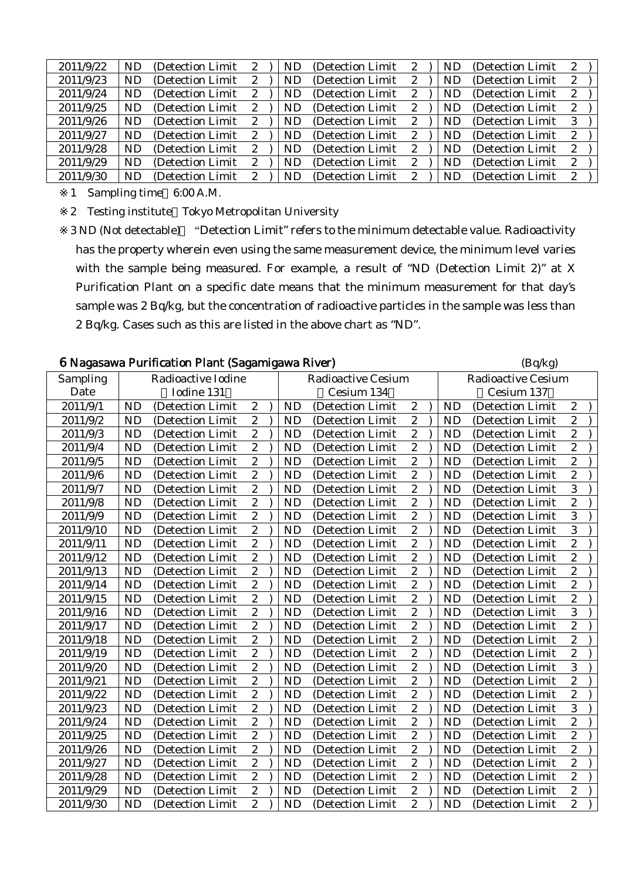| 2011/9/22 | ND. | (Detection Limit) | 2 | ND  | (Detection Limit) | 2 | <b>ND</b> | (Detection Limit) | $\mathbf{2}$ |  |
|-----------|-----|-------------------|---|-----|-------------------|---|-----------|-------------------|--------------|--|
| 2011/9/23 | ND. | (Detection Limit) | 2 | ND  | (Detection Limit) | 2 | ND        | (Detection Limit) | 2            |  |
| 2011/9/24 | ND. | (Detection Limit) | 2 | ND. | (Detection Limit) | 2 | ND        | (Detection Limit) | 2            |  |
| 2011/9/25 | ND. | (Detection Limit) | 2 | ND. | (Detection Limit) | 2 | ND        | (Detection Limit) | $\mathbf{2}$ |  |
| 2011/9/26 | ND. | (Detection Limit) | 2 | ND  | (Detection Limit) | 2 | ND.       | (Detection Limit) | 3            |  |
| 2011/9/27 | ND. | (Detection Limit) | 2 | ND  | (Detection Limit) | 2 | ND.       | (Detection Limit) | $\mathbf{2}$ |  |
| 2011/9/28 | ND. | (Detection Limit) | 2 | ND  | (Detection Limit) | 2 | <b>ND</b> | (Detection Limit) | 2            |  |
| 2011/9/29 | ND. | (Detection Limit) | 2 | ND  | (Detection Limit) | 2 | ND        | (Detection Limit) | 2            |  |
| 2011/9/30 | ND. | (Detection Limit) | 2 | ND  | (Detection Limit) | 2 | ND        | (Detection Limit) | $\mathbf{2}$ |  |

2 Testing institute Tokyo Metropolitan University

|           |           | 6 Nagasawa Purification Plant (Sagamigawa River) |                  |           |                           |                         |  |           | (Bq/kg)                   |                  |  |  |  |
|-----------|-----------|--------------------------------------------------|------------------|-----------|---------------------------|-------------------------|--|-----------|---------------------------|------------------|--|--|--|
| Sampling  |           | Radioactive Iodine                               |                  |           | <b>Radioactive Cesium</b> |                         |  |           | <b>Radioactive Cesium</b> |                  |  |  |  |
| Date      |           | Iodine 131                                       |                  |           | Cesium 134                |                         |  |           | Cesium 137                |                  |  |  |  |
| 2011/9/1  | <b>ND</b> | (Detection Limit                                 | $\boldsymbol{2}$ | <b>ND</b> | (Detection Limit          | $\boldsymbol{2}$        |  | <b>ND</b> | (Detection Limit          | $\boldsymbol{2}$ |  |  |  |
| 2011/9/2  | <b>ND</b> | (Detection Limit                                 | $\boldsymbol{2}$ | <b>ND</b> | (Detection Limit          | $\overline{c}$          |  | <b>ND</b> | (Detection Limit          | $\overline{c}$   |  |  |  |
| 2011/9/3  | <b>ND</b> | (Detection Limit                                 | $\overline{2}$   | <b>ND</b> | (Detection Limit          | $\overline{c}$          |  | <b>ND</b> | (Detection Limit          | $\overline{c}$   |  |  |  |
| 2011/9/4  | <b>ND</b> | (Detection Limit                                 | $\overline{2}$   | <b>ND</b> | (Detection Limit          | $\overline{2}$          |  | <b>ND</b> | (Detection Limit          | $\overline{2}$   |  |  |  |
| 2011/9/5  | <b>ND</b> | (Detection Limit                                 | $\boldsymbol{2}$ | <b>ND</b> | (Detection Limit          | $\overline{c}$          |  | <b>ND</b> | (Detection Limit          | $\overline{c}$   |  |  |  |
| 2011/9/6  | <b>ND</b> | (Detection Limit                                 | $\overline{c}$   | <b>ND</b> | (Detection Limit          | $\overline{c}$          |  | <b>ND</b> | (Detection Limit          | $\overline{c}$   |  |  |  |
| 2011/9/7  | <b>ND</b> | (Detection Limit                                 | $\overline{c}$   | <b>ND</b> | (Detection Limit          | $\overline{c}$          |  | <b>ND</b> | (Detection Limit          | 3                |  |  |  |
| 2011/9/8  | <b>ND</b> | (Detection Limit                                 | $\overline{2}$   | <b>ND</b> | (Detection Limit          | $\overline{c}$          |  | <b>ND</b> | (Detection Limit          | $\overline{2}$   |  |  |  |
| 2011/9/9  | <b>ND</b> | (Detection Limit                                 | $\overline{c}$   | <b>ND</b> | (Detection Limit          | $\overline{c}$          |  | <b>ND</b> | (Detection Limit          | 3                |  |  |  |
| 2011/9/10 | <b>ND</b> | (Detection Limit                                 | $\overline{c}$   | <b>ND</b> | (Detection Limit          | $\overline{c}$          |  | <b>ND</b> | (Detection Limit          | 3                |  |  |  |
| 2011/9/11 | <b>ND</b> | (Detection Limit)                                | $\overline{2}$   | <b>ND</b> | (Detection Limit          | $\overline{c}$          |  | <b>ND</b> | (Detection Limit          | $\overline{c}$   |  |  |  |
| 2011/9/12 | <b>ND</b> | (Detection Limit)                                | $\overline{c}$   | <b>ND</b> | (Detection Limit          | $\overline{c}$          |  | <b>ND</b> | (Detection Limit          | $\overline{c}$   |  |  |  |
| 2011/9/13 | <b>ND</b> | (Detection Limit                                 | $\overline{c}$   | <b>ND</b> | (Detection Limit          | $\overline{\mathbf{c}}$ |  | <b>ND</b> | (Detection Limit          | $\overline{c}$   |  |  |  |
| 2011/9/14 | <b>ND</b> | (Detection Limit                                 | $\overline{c}$   | <b>ND</b> | (Detection Limit          | $\overline{c}$          |  | <b>ND</b> | (Detection Limit          | $\overline{c}$   |  |  |  |
| 2011/9/15 | <b>ND</b> | (Detection Limit                                 | $\overline{c}$   | <b>ND</b> | (Detection Limit          | $\overline{c}$          |  | <b>ND</b> | (Detection Limit          | $\overline{c}$   |  |  |  |
| 2011/9/16 | <b>ND</b> | (Detection Limit)                                | $\overline{c}$   | <b>ND</b> | (Detection Limit          | $\overline{c}$          |  | <b>ND</b> | (Detection Limit          | 3                |  |  |  |
| 2011/9/17 | <b>ND</b> | (Detection Limit)                                | $\boldsymbol{2}$ | <b>ND</b> | (Detection Limit          | $\boldsymbol{2}$        |  | <b>ND</b> | (Detection Limit          | $\overline{c}$   |  |  |  |
| 2011/9/18 | <b>ND</b> | (Detection Limit                                 | $\overline{c}$   | <b>ND</b> | (Detection Limit          | $\overline{c}$          |  | <b>ND</b> | (Detection Limit          | $\overline{c}$   |  |  |  |
| 2011/9/19 | <b>ND</b> | (Detection Limit                                 | $\overline{2}$   | <b>ND</b> | (Detection Limit          | $\overline{c}$          |  | <b>ND</b> | (Detection Limit          | $\overline{c}$   |  |  |  |
| 2011/9/20 | <b>ND</b> | (Detection Limit                                 | $\boldsymbol{2}$ | <b>ND</b> | (Detection Limit          | $\overline{c}$          |  | <b>ND</b> | (Detection Limit)         | 3                |  |  |  |
| 2011/9/21 | <b>ND</b> | (Detection Limit                                 | $\boldsymbol{2}$ | <b>ND</b> | (Detection Limit          | $\boldsymbol{2}$        |  | <b>ND</b> | (Detection Limit          | $\overline{c}$   |  |  |  |
| 2011/9/22 | <b>ND</b> | (Detection Limit                                 | $\overline{c}$   | <b>ND</b> | (Detection Limit          | $\overline{c}$          |  | <b>ND</b> | (Detection Limit          | $\overline{c}$   |  |  |  |
| 2011/9/23 | <b>ND</b> | (Detection Limit)                                | $\overline{c}$   | <b>ND</b> | (Detection Limit          | $\boldsymbol{2}$        |  | <b>ND</b> | (Detection Limit          | 3                |  |  |  |
| 2011/9/24 | <b>ND</b> | (Detection Limit                                 | $\overline{c}$   | <b>ND</b> | (Detection Limit          | $\overline{c}$          |  | <b>ND</b> | (Detection Limit          | $\overline{c}$   |  |  |  |
| 2011/9/25 | <b>ND</b> | (Detection Limit                                 | $\overline{2}$   | <b>ND</b> | (Detection Limit          | $\overline{c}$          |  | <b>ND</b> | (Detection Limit          | $\overline{c}$   |  |  |  |
| 2011/9/26 | <b>ND</b> | (Detection Limit                                 | $\overline{2}$   | <b>ND</b> | (Detection Limit          | $\overline{2}$          |  | <b>ND</b> | (Detection Limit          | $\overline{c}$   |  |  |  |
| 2011/9/27 | <b>ND</b> | (Detection Limit                                 | $\overline{2}$   | <b>ND</b> | (Detection Limit          | $\overline{c}$          |  | <b>ND</b> | (Detection Limit          | $\overline{2}$   |  |  |  |
| 2011/9/28 | <b>ND</b> | (Detection Limit)                                | $\overline{c}$   | <b>ND</b> | (Detection Limit          | $\overline{c}$          |  | <b>ND</b> | (Detection Limit          | $\overline{c}$   |  |  |  |
| 2011/9/29 | <b>ND</b> | (Detection Limit)                                | $\boldsymbol{2}$ | <b>ND</b> | (Detection Limit          | $\overline{c}$          |  | <b>ND</b> | (Detection Limit          | $\overline{c}$   |  |  |  |
| 2011/9/30 | <b>ND</b> | (Detection Limit)                                | $\overline{c}$   | <b>ND</b> | (Detection Limit          | $\overline{c}$          |  | <b>ND</b> | (Detection Limit          | $\overline{c}$   |  |  |  |